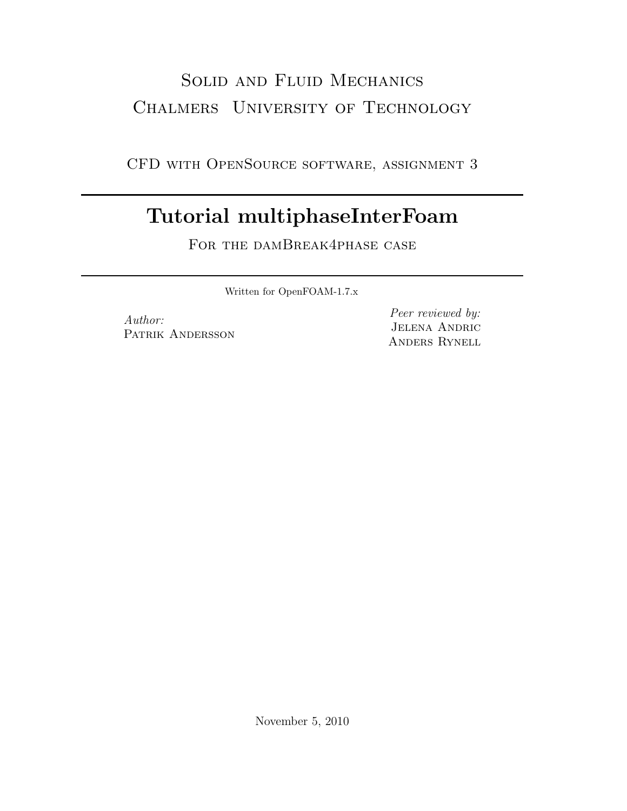## Solid and Fluid Mechanics Chalmers University of Technology

CFD with OpenSource software, assignment 3

## Tutorial multiphaseInterFoam

FOR THE DAMBREAK4PHASE CASE

Written for OpenFOAM-1.7.x

Author: PATRIK ANDERSSON

Peer reviewed by: Jelena Andric Anders Rynell

November 5, 2010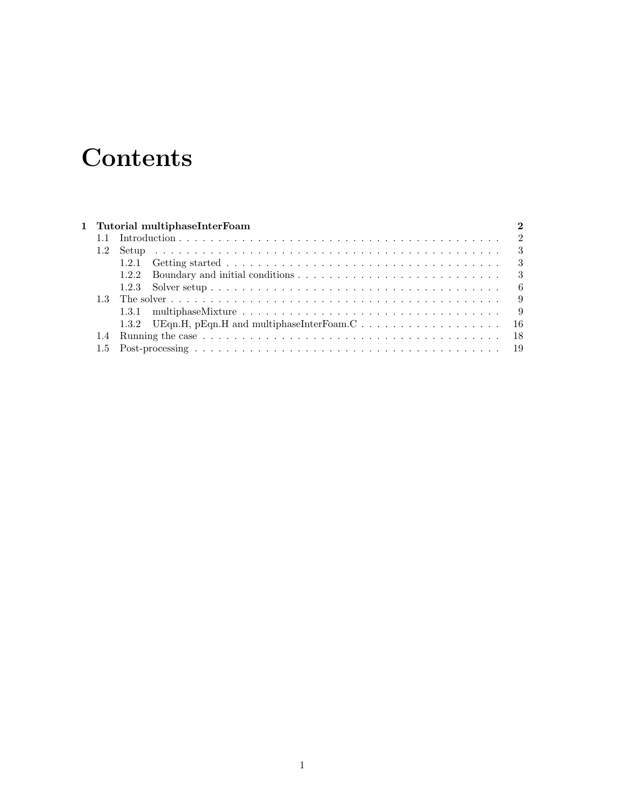# **Contents**

|  | 1 Tutorial multiphaseInterFoam |  |
|--|--------------------------------|--|
|  |                                |  |
|  |                                |  |
|  |                                |  |
|  |                                |  |
|  |                                |  |
|  |                                |  |
|  |                                |  |
|  |                                |  |
|  |                                |  |
|  |                                |  |
|  |                                |  |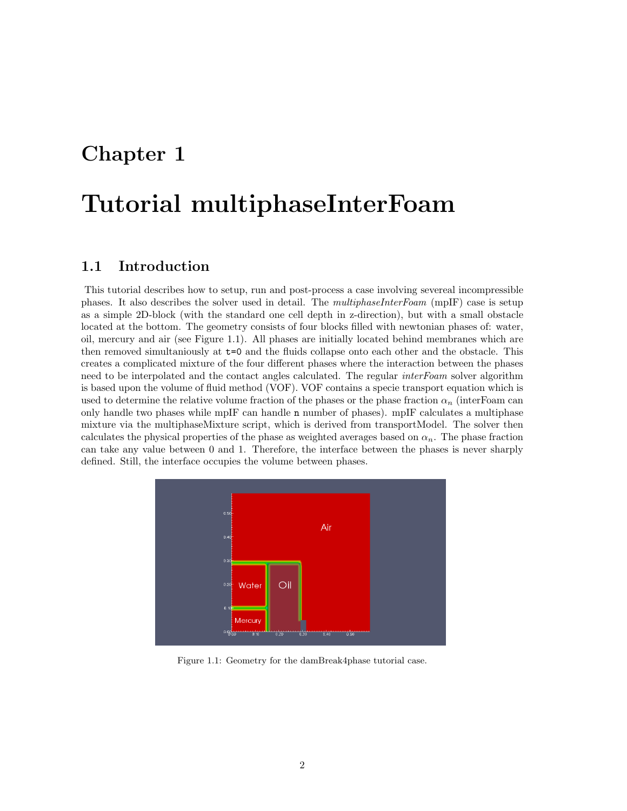## Chapter 1

## Tutorial multiphaseInterFoam

### 1.1 Introduction

This tutorial describes how to setup, run and post-process a case involving severeal incompressible phases. It also describes the solver used in detail. The multiphaseInterFoam (mpIF) case is setup as a simple 2D-block (with the standard one cell depth in z-direction), but with a small obstacle located at the bottom. The geometry consists of four blocks filled with newtonian phases of: water, oil, mercury and air (see Figure 1.1). All phases are initially located behind membranes which are then removed simultaniously at t=0 and the fluids collapse onto each other and the obstacle. This creates a complicated mixture of the four different phases where the interaction between the phases need to be interpolated and the contact angles calculated. The regular *interFoam* solver algorithm is based upon the volume of fluid method (VOF). VOF contains a specie transport equation which is used to determine the relative volume fraction of the phases or the phase fraction  $\alpha_n$  (interFoam can only handle two phases while mpIF can handle n number of phases). mpIF calculates a multiphase mixture via the multiphaseMixture script, which is derived from transportModel. The solver then calculates the physical properties of the phase as weighted averages based on  $\alpha_n$ . The phase fraction can take any value between 0 and 1. Therefore, the interface between the phases is never sharply defined. Still, the interface occupies the volume between phases.



Figure 1.1: Geometry for the damBreak4phase tutorial case.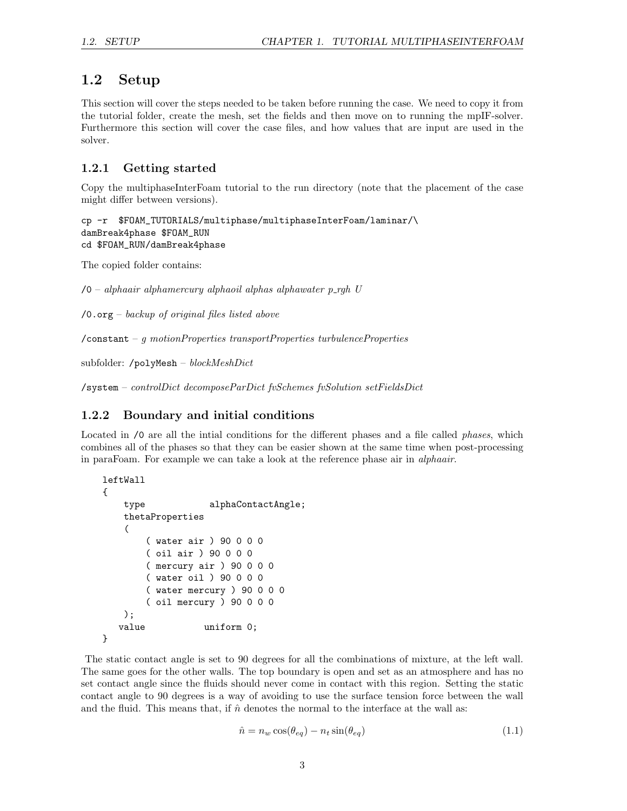### 1.2 Setup

This section will cover the steps needed to be taken before running the case. We need to copy it from the tutorial folder, create the mesh, set the fields and then move on to running the mpIF-solver. Furthermore this section will cover the case files, and how values that are input are used in the solver.

#### 1.2.1 Getting started

Copy the multiphaseInterFoam tutorial to the run directory (note that the placement of the case might differ between versions).

```
cp -r $FOAM_TUTORIALS/multiphase/multiphaseInterFoam/laminar/\
damBreak4phase $FOAM_RUN
cd $FOAM_RUN/damBreak4phase
```
The copied folder contains:

 $\sqrt{0}$  – alphaair alphamercury alphaoil alphas alphawater p\_rgh U

 $\sqrt{0.6\pi g}$  – backup of original files listed above

/constant – g motionProperties transportProperties turbulenceProperties

```
subfolder: /polyMesh – blockMeshDict
```
/system – controlDict decomposeParDict fvSchemes fvSolution setFieldsDict

#### 1.2.2 Boundary and initial conditions

Located in  $\sqrt{0}$  are all the intial conditions for the different phases and a file called *phases*, which combines all of the phases so that they can be easier shown at the same time when post-processing in paraFoam. For example we can take a look at the reference phase air in alphaair.

```
leftWall
{
   type alphaContactAngle;
   thetaProperties
    (
       ( water air ) 90 0 0 0
       ( oil air ) 90 0 0 0
       ( mercury air ) 90 0 0 0
       ( water oil ) 90 0 0 0
       ( water mercury ) 90 0 0 0
       ( oil mercury ) 90 0 0 0
   );
   value uniform 0;
```

```
}
```
The static contact angle is set to 90 degrees for all the combinations of mixture, at the left wall. The same goes for the other walls. The top boundary is open and set as an atmosphere and has no set contact angle since the fluids should never come in contact with this region. Setting the static contact angle to 90 degrees is a way of avoiding to use the surface tension force between the wall and the fluid. This means that, if  $\hat{n}$  denotes the normal to the interface at the wall as:

$$
\hat{n} = n_w \cos(\theta_{eq}) - n_t \sin(\theta_{eq}) \tag{1.1}
$$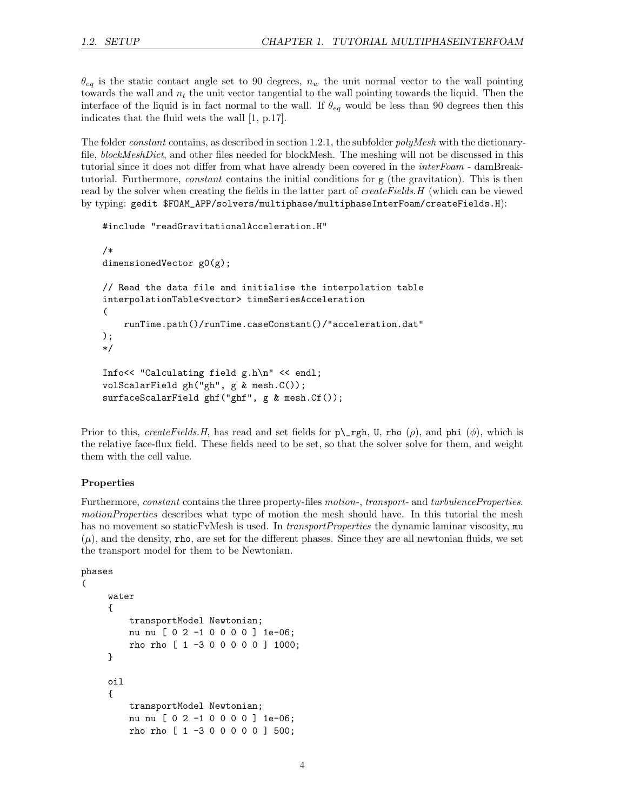$\theta_{eq}$  is the static contact angle set to 90 degrees,  $n_w$  the unit normal vector to the wall pointing towards the wall and  $n_t$  the unit vector tangential to the wall pointing towards the liquid. Then the interface of the liquid is in fact normal to the wall. If  $\theta_{eq}$  would be less than 90 degrees then this indicates that the fluid wets the wall [1, p.17].

The folder *constant* contains, as described in section 1.2.1, the subfolder *polyMesh* with the dictionaryfile, blockMeshDict, and other files needed for blockMesh. The meshing will not be discussed in this tutorial since it does not differ from what have already been covered in the *interFoam* - damBreaktutorial. Furthermore, constant contains the initial conditions for g (the gravitation). This is then read by the solver when creating the fields in the latter part of *createFields.H* (which can be viewed by typing: gedit \$FOAM\_APP/solvers/multiphase/multiphaseInterFoam/createFields.H):

```
#include "readGravitationalAcceleration.H"
/*
dimensionedVector g0(g);
// Read the data file and initialise the interpolation table
interpolationTable<vector> timeSeriesAcceleration
(
    runTime.path()/runTime.caseConstant()/"acceleration.dat"
);
*/
Info<< "Calculating field g.h\n" << endl;
volScalarField gh("gh", g & mesh.C());
surfaceScalarField ghf("ghf", g & mesh.Cf());
```
Prior to this, createFields.H, has read and set fields for  $p\$ gh, U, rho  $(\rho)$ , and phi  $(\phi)$ , which is the relative face-flux field. These fields need to be set, so that the solver solve for them, and weight them with the cell value.

#### Properties

Furthermore, *constant* contains the three property-files *motion-*, *transport-* and *turbulenceProperties.* motionProperties describes what type of motion the mesh should have. In this tutorial the mesh has no movement so staticFvMesh is used. In *transportProperties* the dynamic laminar viscosity, mu  $(\mu)$ , and the density, rho, are set for the different phases. Since they are all newtonian fluids, we set the transport model for them to be Newtonian.

```
phases
(
     water
     {
         transportModel Newtonian;
         nu nu [ 0 2 -1 0 0 0 0 ] 1e-06;
         rho rho [ 1 -3 0 0 0 0 0 ] 1000;
     }
     oil
     {
         transportModel Newtonian;
         nu nu [ 0 2 -1 0 0 0 0 ] 1e-06;
         rho rho [ 1 -3 0 0 0 0 0 ] 500;
```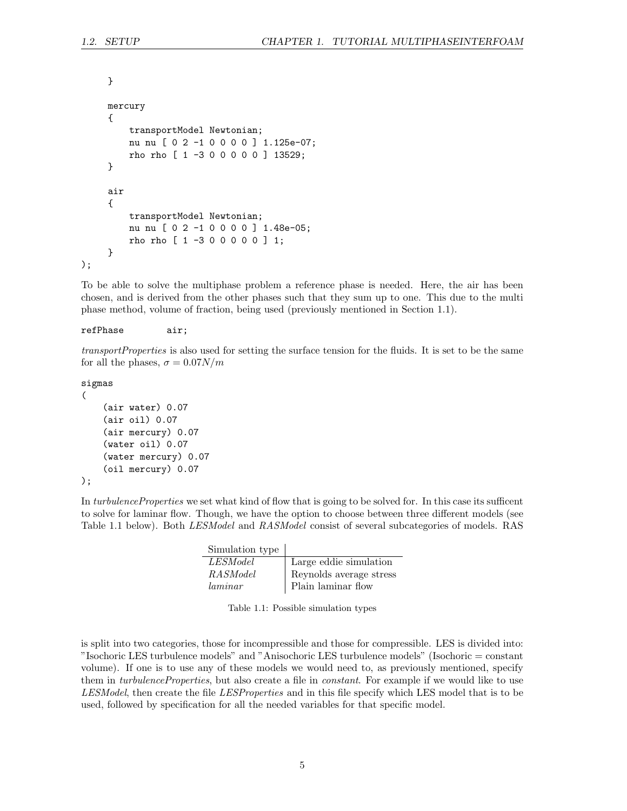```
}
     mercury
     {
         transportModel Newtonian;
         nu nu [ 0 2 -1 0 0 0 0 ] 1.125e-07;
         rho rho [ 1 -3 0 0 0 0 0 ] 13529;
     }
     air
     {
         transportModel Newtonian;
         nu nu [ 0 2 -1 0 0 0 0 ] 1.48e-05;
         rho rho [ 1 -3 0 0 0 0 0 ] 1;
     }
);
```
To be able to solve the multiphase problem a reference phase is needed. Here, the air has been chosen, and is derived from the other phases such that they sum up to one. This due to the multi phase method, volume of fraction, being used (previously mentioned in Section 1.1).

#### refPhase air;

transportProperties is also used for setting the surface tension for the fluids. It is set to be the same for all the phases,  $\sigma = 0.07N/m$ 

sigmas

```
(
    (air water) 0.07
    (air oil) 0.07
    (air mercury) 0.07
    (water oil) 0.07
    (water mercury) 0.07
    (oil mercury) 0.07
);
```
In turbulenceProperties we set what kind of flow that is going to be solved for. In this case its sufficent to solve for laminar flow. Though, we have the option to choose between three different models (see Table 1.1 below). Both *LESModel* and *RASModel* consist of several subcategories of models. RAS

| Simulation type |                         |
|-----------------|-------------------------|
| <i>LESModel</i> | Large eddie simulation  |
| RASModel        | Reynolds average stress |
| laminar         | Plain laminar flow      |

|  |  | Table 1.1: Possible simulation types |  |  |  |
|--|--|--------------------------------------|--|--|--|
|--|--|--------------------------------------|--|--|--|

is split into two categories, those for incompressible and those for compressible. LES is divided into: "Isochoric LES turbulence models" and "Anisochoric LES turbulence models" (Isochoric = constant volume). If one is to use any of these models we would need to, as previously mentioned, specify them in *turbulenceProperties*, but also create a file in *constant*. For example if we would like to use LESModel, then create the file LESProperties and in this file specify which LES model that is to be used, followed by specification for all the needed variables for that specific model.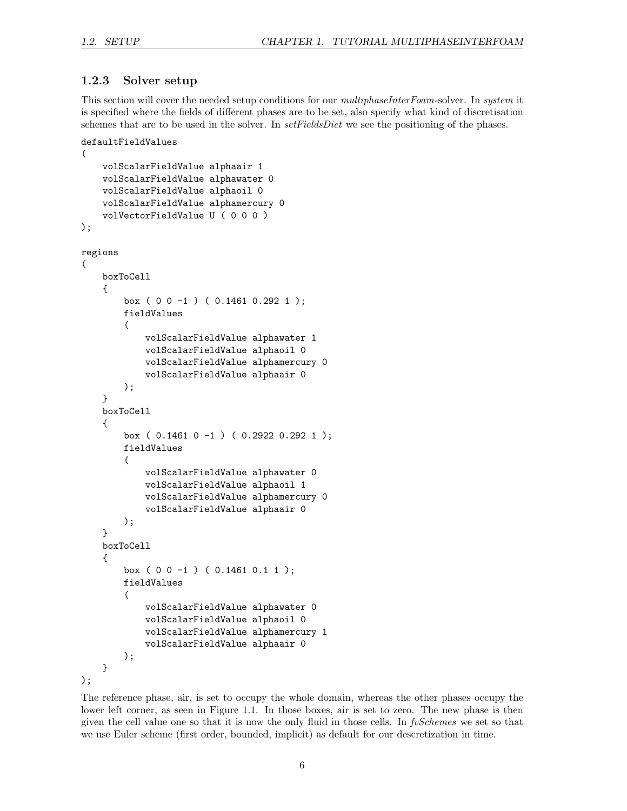#### 1.2.3 Solver setup

This section will cover the needed setup conditions for our *multiphaseInterFoam-solver*. In *system* it is specified where the fields of different phases are to be set, also specify what kind of discretisation schemes that are to be used in the solver. In *setFieldsDict* we see the positioning of the phases.

```
defaultFieldValues
(
    volScalarFieldValue alphaair 1
    volScalarFieldValue alphawater 0
    volScalarFieldValue alphaoil 0
    volScalarFieldValue alphamercury 0
    volVectorFieldValue U ( 0 0 0 )
);
regions
(
    boxToCell
    {
        box ( 0 0 -1 ) ( 0.1461 0.292 1 );
        fieldValues
        (
            volScalarFieldValue alphawater 1
            volScalarFieldValue alphaoil 0
            volScalarFieldValue alphamercury 0
            volScalarFieldValue alphaair 0
        );
    }
    boxToCell
    {
        box ( 0.1461 0 -1 ) ( 0.2922 0.292 1 );
        fieldValues
        (
            volScalarFieldValue alphawater 0
            volScalarFieldValue alphaoil 1
            volScalarFieldValue alphamercury 0
            volScalarFieldValue alphaair 0
        );
    }
    boxToCell
    {
        box ( 0 0 -1 ) ( 0.1461 0.1 1 );
        fieldValues
        (
            volScalarFieldValue alphawater 0
            volScalarFieldValue alphaoil 0
            volScalarFieldValue alphamercury 1
            volScalarFieldValue alphaair 0
        );
    }
);
```
The reference phase, air, is set to occupy the whole domain, whereas the other phases occupy the lower left corner, as seen in Figure 1.1. In those boxes, air is set to zero. The new phase is then given the cell value one so that it is now the only fluid in those cells. In fvSchemes we set so that we use Euler scheme (first order, bounded, implicit) as default for our descretization in time.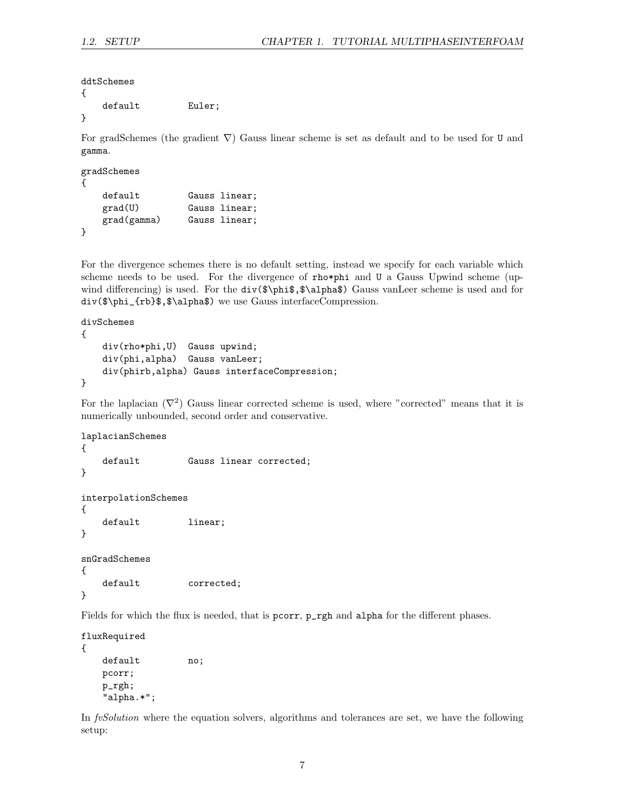ddtSchemes

```
{
  default Euler;
}
```
For gradSchemes (the gradient  $\nabla$ ) Gauss linear scheme is set as default and to be used for U and gamma.

```
gradSchemes
{
   default Gauss linear;
   grad(U) Gauss linear;
   grad(gamma) Gauss linear;
}
```
For the divergence schemes there is no default setting, instead we specify for each variable which scheme needs to be used. For the divergence of rho\*phi and U a Gauss Upwind scheme (upwind differencing) is used. For the  $div(\frac{\phi}{\phi}, \alpha)$  Gauss vanLeer scheme is used and for div(\$\phi\_{rb}\$,\$\alpha\$) we use Gauss interfaceCompression.

```
divSchemes
{
    div(rho*phi,U) Gauss upwind;
    div(phi,alpha) Gauss vanLeer;
    div(phirb,alpha) Gauss interfaceCompression;
}
```
For the laplacian  $(\nabla^2)$  Gauss linear corrected scheme is used, where "corrected" means that it is numerically unbounded, second order and conservative.

```
laplacianSchemes
{
   default Gauss linear corrected;
}
interpolationSchemes
{
   default linear;
}
snGradSchemes
{
   default corrected;
}
```
Fields for which the flux is needed, that is pcorr,  $p$ <sub>rgh</sub> and alpha for the different phases.

```
fluxRequired
{
   default no;
   pcorr;
   p_rgh;
   "alpha.*";
```
In fvSolution where the equation solvers, algorithms and tolerances are set, we have the following setup: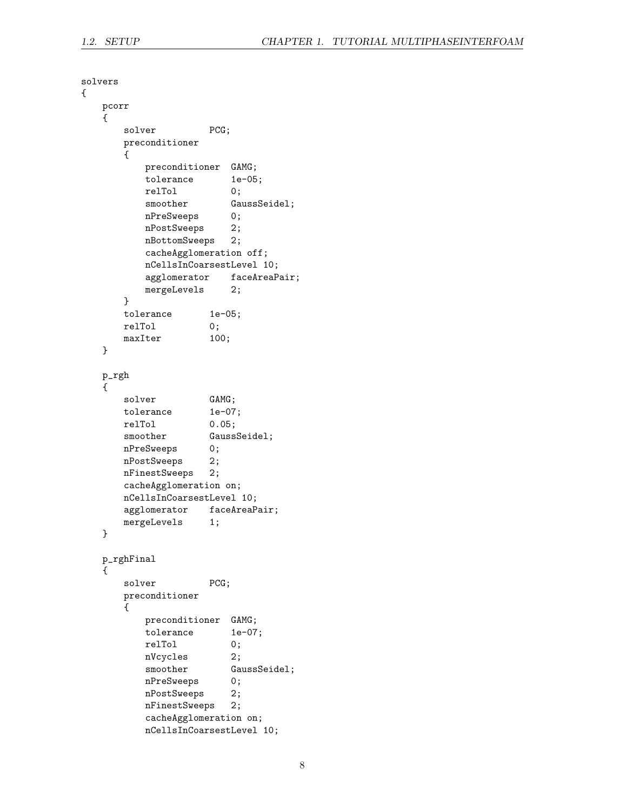```
solvers
{
   pcorr
   {
      solver PCG;
      preconditioner
      {
          preconditioner GAMG;<br>tolerance 1e-05;
          tolerance
          relTol 0;
          smoother GaussSeidel;
          nPreSweeps 0;
          nPostSweeps 2;
          nBottomSweeps 2;
          cacheAgglomeration off;
          nCellsInCoarsestLevel 10;
          agglomerator faceAreaPair;
          mergeLevels 2;
      }
      tolerance 1e-05;
      relTol 0;
      maxIter 100;
   }
   p_rgh
   {
      solver GAMG;
      tolerance 1e-07;
      relTol 0.05;
      smoother GaussSeidel;
      nPreSweeps 0;
      nPostSweeps 2;
      nFinestSweeps 2;
      cacheAgglomeration on;
      nCellsInCoarsestLevel 10;
      agglomerator faceAreaPair;
      mergeLevels 1;
   }
   p_rghFinal
   {
      solver PCG;
      preconditioner
      {
          preconditioner GAMG;
          tolerance 1e-07;
          relTol 0;
          nVcycles 2;
          smoother GaussSeidel;
          nPreSweeps 0;
          nPostSweeps 2;
          nFinestSweeps 2;
          cacheAgglomeration on;
          nCellsInCoarsestLevel 10;
```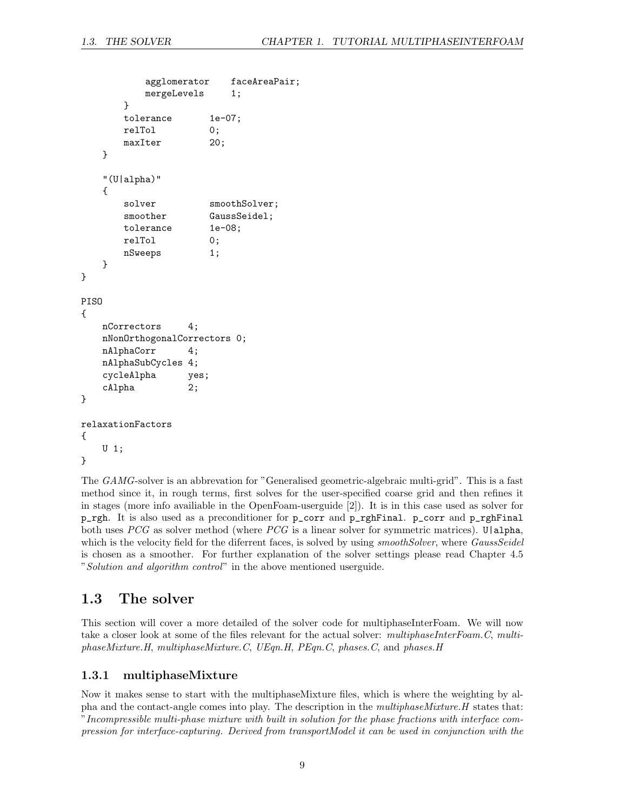```
agglomerator faceAreaPair;
          mergeLevels 1;
       }
       tolerance 1e-07;
       relTol 0;
       maxIter 20;
   }
   "(U|alpha)"
   {
       solver smoothSolver;
       smoother GaussSeidel;
       tolerance 1e-08;
       relTol 0;
       nSweeps 1;
   }
}
PISO
{
   nCorrectors 4;
   nNonOrthogonalCorrectors 0;
   nAlphaCorr 4;
   nAlphaSubCycles 4;
   cycleAlpha yes;<br>cAlpha 2;
   cAlpha
}
relaxationFactors
{
   U 1;
}
```
The GAMG-solver is an abbrevation for "Generalised geometric-algebraic multi-grid". This is a fast method since it, in rough terms, first solves for the user-specified coarse grid and then refines it in stages (more info availiable in the OpenFoam-userguide [2]). It is in this case used as solver for p\_rgh. It is also used as a preconditioner for p\_corr and p\_rghFinal. p\_corr and p\_rghFinal both uses PCG as solver method (where PCG is a linear solver for symmetric matrices). U|alpha, which is the velocity field for the diferrent faces, is solved by using *smoothSolver*, where *GaussSeidel* is chosen as a smoother. For further explanation of the solver settings please read Chapter 4.5 "Solution and algorithm control" in the above mentioned userguide.

### 1.3 The solver

This section will cover a more detailed of the solver code for multiphaseInterFoam. We will now take a closer look at some of the files relevant for the actual solver: multiphaseInterFoam.C, multiphaseMixture.H, multiphaseMixture.C, UEqn.H, PEqn.C, phases.C, and phases.H

#### 1.3.1 multiphaseMixture

Now it makes sense to start with the multiphaseMixture files, which is where the weighting by alpha and the contact-angle comes into play. The description in the multiphaseMixture.H states that: "Incompressible multi-phase mixture with built in solution for the phase fractions with interface compression for interface-capturing. Derived from transportModel it can be used in conjunction with the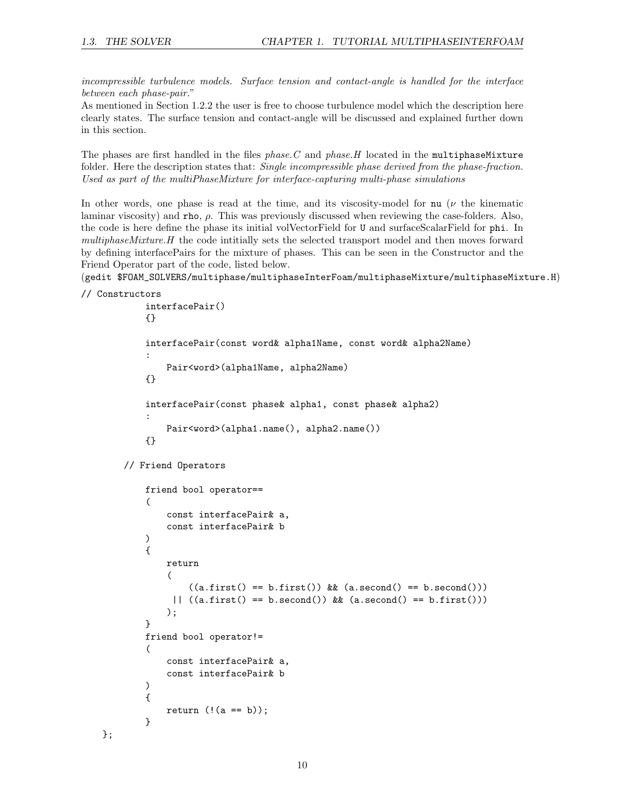incompressible turbulence models. Surface tension and contact-angle is handled for the interface between each phase-pair."

As mentioned in Section 1.2.2 the user is free to choose turbulence model which the description here clearly states. The surface tension and contact-angle will be discussed and explained further down in this section.

The phases are first handled in the files  $phase.C$  and  $phase.H$  located in the multiphaseMixture folder. Here the description states that: *Single incompressible phase derived from the phase-fraction*. Used as part of the multiPhaseMixture for interface-capturing multi-phase simulations

In other words, one phase is read at the time, and its viscosity-model for nu  $(\nu$  the kinematic laminar viscosity) and rho,  $\rho$ . This was previously discussed when reviewing the case-folders. Also, the code is here define the phase its initial volVectorField for U and surfaceScalarField for phi. In multiphaseMixture.H the code intitially sets the selected transport model and then moves forward by defining interfacePairs for the mixture of phases. This can be seen in the Constructor and the Friend Operator part of the code, listed below.

(gedit \$FOAM\_SOLVERS/multiphase/multiphaseInterFoam/multiphaseMixture/multiphaseMixture.H)

```
// Constructors
```
};

```
interfacePair()
{}
interfacePair(const word& alpha1Name, const word& alpha2Name)
:
    Pair<word>(alpha1Name, alpha2Name)
{}
interfacePair(const phase& alpha1, const phase& alpha2)
:
    Pair<word>(alpha1.name(), alpha2.name())
{}
```
// Friend Operators

```
friend bool operator==
(
    const interfacePair& a,
    const interfacePair& b
)
{
    return
    (
        ((a.first() == b.first()) & (a.second() == b.second())|| ((a.first() == b.ssecond()) \& (a.ssecond() == b.first()));
}
friend bool operator!=
(
    const interfacePair& a,
    const interfacePair& b
)
{
    return (l(a == b));
}
```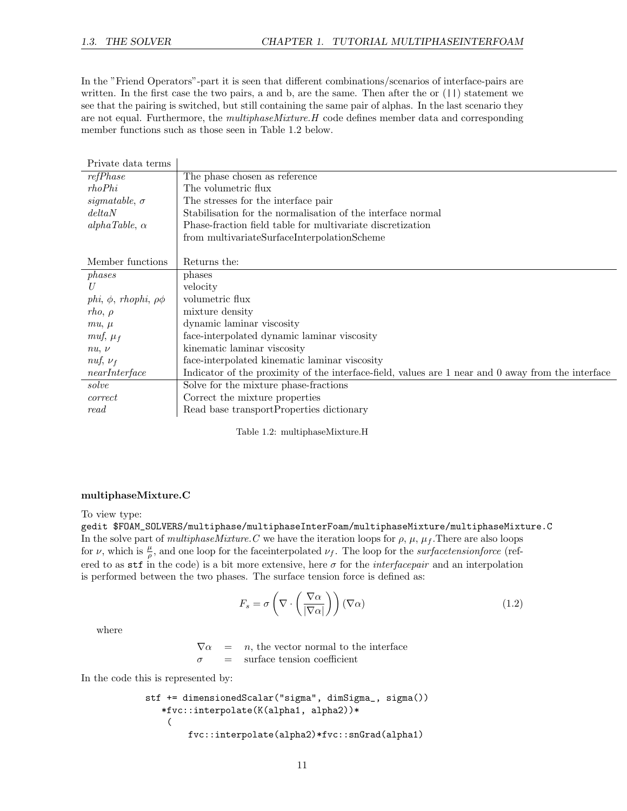In the "Friend Operators"-part it is seen that different combinations/scenarios of interface-pairs are written. In the first case the two pairs, a and b, are the same. Then after the or (||) statement we see that the pairing is switched, but still containing the same pair of alphas. In the last scenario they are not equal. Furthermore, the *multiphaseMixture.H* code defines member data and corresponding member functions such as those seen in Table 1.2 below.

| Private data terms               |                                                                                                    |
|----------------------------------|----------------------------------------------------------------------------------------------------|
| refPhase                         | The phase chosen as reference                                                                      |
| rhoPhi                           | The volumetric flux                                                                                |
| sigmatable, $\sigma$             | The stresses for the interface pair                                                                |
| deltaN                           | Stabilisation for the normalisation of the interface normal                                        |
| $alpha Table, \alpha$            | Phase-fraction field table for multivariate discretization                                         |
|                                  | from multivariateSurfaceInterpolationScheme                                                        |
|                                  |                                                                                                    |
| Member functions                 | Returns the:                                                                                       |
| phases                           | phases                                                                                             |
| U                                | velocity                                                                                           |
| phi, $\phi$ , rhophi, $\rho\phi$ | volumetric flux                                                                                    |
| $rho, \rho$                      | mixture density                                                                                    |
| $mu, \mu$                        | dynamic laminar viscosity                                                                          |
| muf, $\mu_f$                     | face-interpolated dynamic laminar viscosity                                                        |
| $nu, \nu$                        | kinematic laminar viscosity                                                                        |
| nuf, $\nu_f$                     | face-interpolated kinematic laminar viscosity                                                      |
| nearInterface                    | Indicator of the proximity of the interface-field, values are 1 near and 0 away from the interface |
| solve                            | Solve for the mixture phase-fractions                                                              |
| correct                          | Correct the mixture properties                                                                     |
| read                             | Read base transportProperties dictionary                                                           |
|                                  |                                                                                                    |

Table 1.2: multiphaseMixture.H

#### multiphaseMixture.C

To view type:

gedit \$FOAM\_SOLVERS/multiphase/multiphaseInterFoam/multiphaseMixture/multiphaseMixture.C In the solve part of multiphase Mixture. C we have the iteration loops for  $\rho$ ,  $\mu$ ,  $\mu_f$ . There are also loops for v, which is  $\frac{\mu}{\rho}$ , and one loop for the face interpolated  $\nu_f$ . The loop for the *surfacetensionforce* (refered to as stf in the code) is a bit more extensive, here  $\sigma$  for the *interfacepair* and an interpolation is performed between the two phases. The surface tension force is defined as:

$$
F_s = \sigma \left( \nabla \cdot \left( \frac{\nabla \alpha}{|\nabla \alpha|} \right) \right) (\nabla \alpha) \tag{1.2}
$$

where

 $\nabla \alpha$  = n, the vector normal to the interface  $\sigma$  = surface tension coefficient

In the code this is represented by:

```
stf += dimensionedScalar("sigma", dimSigma_, sigma())
   *fvc::interpolate(K(alpha1, alpha2))*
    (
        fvc::interpolate(alpha2)*fvc::snGrad(alpha1)
```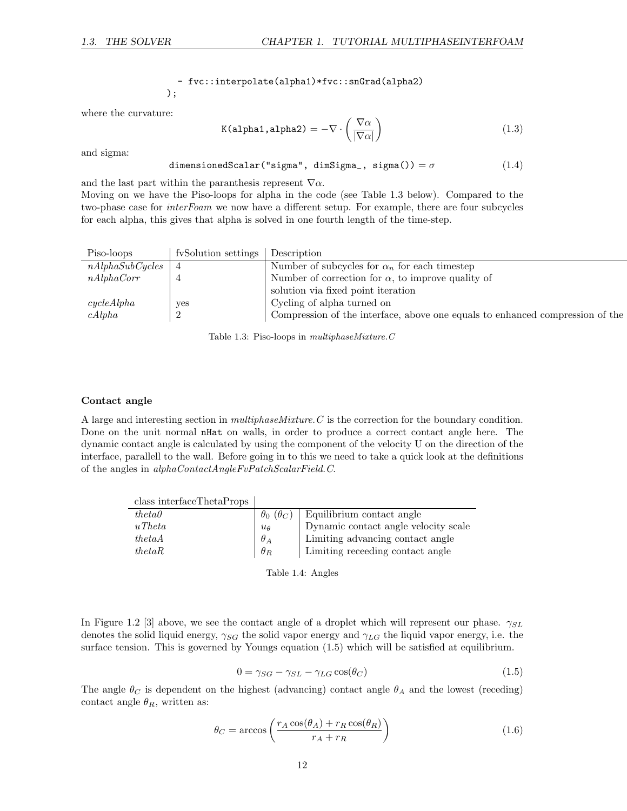where the curvature:

- fvc::interpolate(alpha1)\*fvc::snGrad(alpha2) );

$$
K(\text{alpha1}, \text{alpha2}) = -\nabla \cdot \left(\frac{\nabla \alpha}{|\nabla \alpha|}\right) \tag{1.3}
$$

and sigma:

dimensionedScalar("sigma", dimSigma\_, sigma()) =  $\sigma$  (1.4)

and the last part within the paranthesis represent  $\nabla \alpha$ .

Moving on we have the Piso-loops for alpha in the code (see Table 1.3 below). Compared to the two-phase case for *interFoam* we now have a different setup. For example, there are four subcycles for each alpha, this gives that alpha is solved in one fourth length of the time-step.

| Piso-loops      | fySolution settings Description |                                                                               |
|-----------------|---------------------------------|-------------------------------------------------------------------------------|
| nAlphaSubCycles | 4                               | Number of subcycles for $\alpha_n$ for each timestep                          |
| nAlphaCorr      |                                 | Number of correction for $\alpha$ , to improve quality of                     |
|                 |                                 | solution via fixed point iteration                                            |
| cycleAlpha      | yes                             | Cycling of alpha turned on                                                    |
| cAlpha          | 2                               | Compression of the interface, above one equals to enhanced compression of the |

Table 1.3: Piso-loops in multiphaseMixture.C

#### Contact angle

A large and interesting section in multiphaseMixture.C is the correction for the boundary condition. Done on the unit normal nHat on walls, in order to produce a correct contact angle here. The dynamic contact angle is calculated by using the component of the velocity U on the direction of the interface, parallell to the wall. Before going in to this we need to take a quick look at the definitions of the angles in alphaContactAngleFvPatchScalarField.C.

| class interfaceThetaProps |                           |                                      |
|---------------------------|---------------------------|--------------------------------------|
| theta                     | $\theta_0$ ( $\theta_C$ ) | Equilibrium contact angle            |
| $u$ Theta                 | $u_{\theta}$              | Dynamic contact angle velocity scale |
| thetaA                    | $\theta_A$                | Limiting advancing contact angle     |
| theta                     | $\theta_R$                | Limiting receeding contact angle     |

Table 1.4: Angles

In Figure 1.2 [3] above, we see the contact angle of a droplet which will represent our phase.  $\gamma_{SL}$ denotes the solid liquid energy,  $\gamma_{SG}$  the solid vapor energy and  $\gamma_{LG}$  the liquid vapor energy, i.e. the surface tension. This is governed by Youngs equation (1.5) which will be satisfied at equilibrium.

$$
0 = \gamma_{SG} - \gamma_{SL} - \gamma_{LG} \cos(\theta_C) \tag{1.5}
$$

The angle  $\theta_C$  is dependent on the highest (advancing) contact angle  $\theta_A$  and the lowest (receding) contact angle  $\theta_R$ , written as:

$$
\theta_C = \arccos\left(\frac{r_A \cos(\theta_A) + r_R \cos(\theta_R)}{r_A + r_R}\right) \tag{1.6}
$$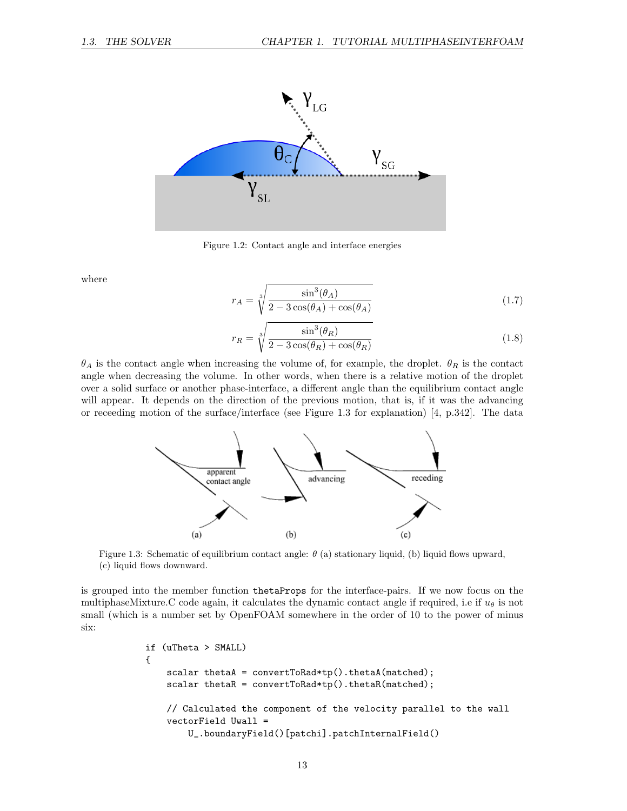

Figure 1.2: Contact angle and interface energies

where

$$
r_A = \sqrt[3]{\frac{\sin^3(\theta_A)}{2 - 3\cos(\theta_A) + \cos(\theta_A)}}
$$
(1.7)

$$
r_R = \sqrt[3]{\frac{\sin^3(\theta_R)}{2 - 3\cos(\theta_R) + \cos(\theta_R)}}
$$
(1.8)

 $\theta_A$  is the contact angle when increasing the volume of, for example, the droplet.  $\theta_R$  is the contact angle when decreasing the volume. In other words, when there is a relative motion of the droplet over a solid surface or another phase-interface, a different angle than the equilibrium contact angle will appear. It depends on the direction of the previous motion, that is, if it was the advancing or receeding motion of the surface/interface (see Figure 1.3 for explanation) [4, p.342]. The data



Figure 1.3: Schematic of equilibrium contact angle:  $\theta$  (a) stationary liquid, (b) liquid flows upward, (c) liquid flows downward.

is grouped into the member function thetaProps for the interface-pairs. If we now focus on the multiphaseMixture.C code again, it calculates the dynamic contact angle if required, i.e if  $u_{\theta}$  is not small (which is a number set by OpenFOAM somewhere in the order of 10 to the power of minus six:

```
if (uTheta > SMALL)
{
    scalar thetaA = convertToRad*tp().thetaA(matched);
    scalar thetaR = convertToRad*tp().thetaR(matched);
    // Calculated the component of the velocity parallel to the wall
    vectorField Uwall =
        U_.boundaryField()[patchi].patchInternalField()
```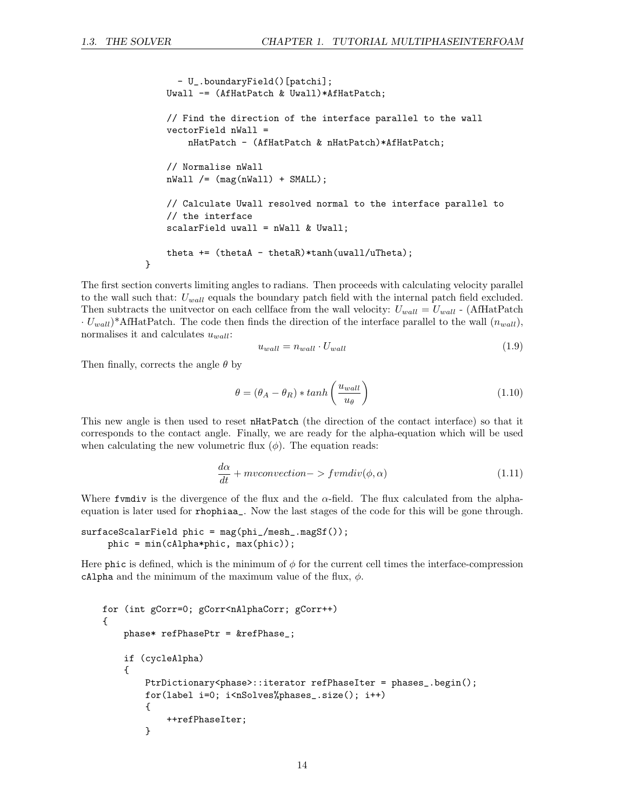```
- U_.boundaryField()[patchi];
   Uwall -= (AfHatPatch & Uwall)*AfHatPatch;
    // Find the direction of the interface parallel to the wall
    vectorField nWall =
        nHatPatch - (AfHatPatch & nHatPatch)*AfHatPatch;
    // Normalise nWall
   nWall /= (mag(nWall) + SMALL);
    // Calculate Uwall resolved normal to the interface parallel to
    // the interface
    scalarField uwall = nWall & Uwall;
    theta += (thetaA - thetaR)*tanh(uwall/uTheta);
}
```
The first section converts limiting angles to radians. Then proceeds with calculating velocity parallel to the wall such that:  $U_{wall}$  equals the boundary patch field with the internal patch field excluded. Then subtracts the unitvector on each cellface from the wall velocity:  $U_{wall} = U_{wall}$  - (AfHatPatch  $\cdot U_{wall}$ <sup>\*</sup>AfHatPatch. The code then finds the direction of the interface parallel to the wall  $(n_{wall})$ , normalises it and calculates  $u_{wall}$ :

$$
u_{wall} = n_{wall} \cdot U_{wall} \tag{1.9}
$$

Then finally, corrects the angle  $\theta$  by

$$
\theta = (\theta_A - \theta_R) * \tanh\left(\frac{u_{wall}}{u_{\theta}}\right) \tag{1.10}
$$

This new angle is then used to reset nHatPatch (the direction of the contact interface) so that it corresponds to the contact angle. Finally, we are ready for the alpha-equation which will be used when calculating the new volumetric flux  $(\phi)$ . The equation reads:

$$
\frac{d\alpha}{dt} + mvconvection - > f v m div(\phi, \alpha) \tag{1.11}
$$

Where fundiv is the divergence of the flux and the  $\alpha$ -field. The flux calculated from the alphaequation is later used for rhophiaa\_. Now the last stages of the code for this will be gone through.

```
surfaceScalarField~phic = mag(phi_{mesh\_magSt());
    phic = min(cAlpha*phic, max(phic));
```
Here phic is defined, which is the minimum of  $\phi$  for the current cell times the interface-compression cAlpha and the minimum of the maximum value of the flux,  $\phi$ .

```
for (int gCorr=0; gCorr<nAlphaCorr; gCorr++)
{
    phase* refPhasePtr = &refPhase_;
    if (cycleAlpha)
    {
        PtrDictionary<phase>::iterator refPhaseIter = phases_.begin();
        for(label i=0; i<nSolves%phases_.size(); i++)
        {
            ++refPhaseIter;
        }
```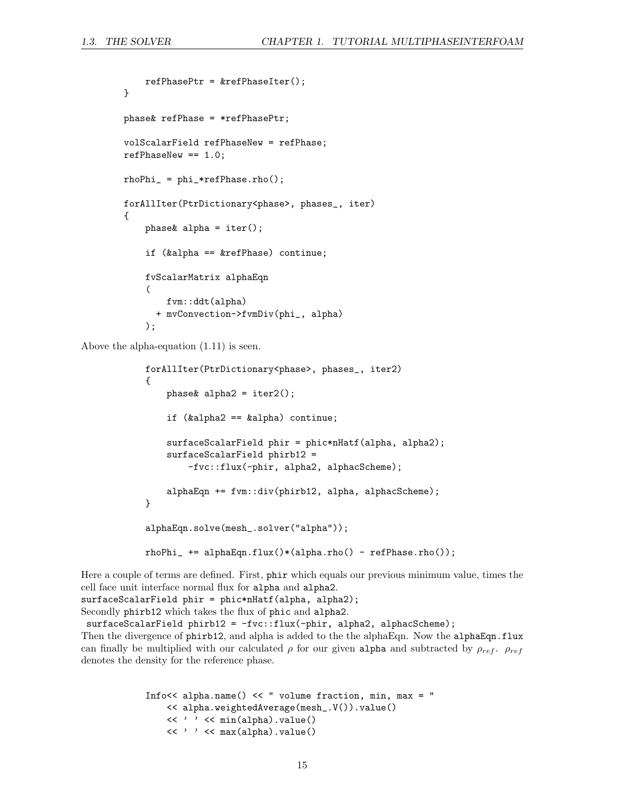```
refPhasePtr = \&refPhaseIter();}
phase& refPhase = *refPhasePtr;
volScalarField refPhaseNew = refPhase;
refPhaseNew == 1.0;
rhoPhi_ = phi_*refPhase.rho();
forAllIter(PtrDictionary<phase>, phases_, iter)
{
   phase k alpha = iter();
    if (&alpha == &refPhase) continue;
    fvScalarMatrix alphaEqn
    (
        fvm::ddt(alpha)
      + mvConvection->fvmDiv(phi_, alpha)
    );
```
Above the alpha-equation (1.11) is seen.

```
forAllIter(PtrDictionary<phase>, phases_, iter2)
{
   phase alpha2 = iter2();
    if (&alpha2 == &alpha) continue;
    surfaceScalarField phir = phic*nHatf(alpha, alpha2);
    surfaceScalarField phirb12 =
        -fvc::flux(-phir, alpha2, alphacScheme);
    alphaEqn += fvm::div(phirb12, alpha, alphacScheme);
}
alphaEqn.solve(mesh_.solver("alpha"));
rhoPhi_ += alphaEqn.flux()*(alpha.rho() - refPhase.rho());
```
Here a couple of terms are defined. First, phir which equals our previous minimum value, times the cell face unit interface normal flux for alpha and alpha2. surfaceScalarField phir = phic\*nHatf(alpha, alpha2);

Secondly phirb12 which takes the flux of phic and alpha2.

surfaceScalarField phirb12 = -fvc::flux(-phir, alpha2, alphacScheme); Then the divergence of phirb12, and alpha is added to the the alphaEqn. Now the alphaEqn.flux can finally be multiplied with our calculated  $\rho$  for our given alpha and subtracted by  $\rho_{ref}$ .  $\rho_{ref}$ denotes the density for the reference phase.

```
Info<< alpha.name() << " volume fraction, min, max = "
    << alpha.weightedAverage(mesh_.V()).value()
    << ' ' << min(alpha).value()
    << ' ' << max(alpha).value()
```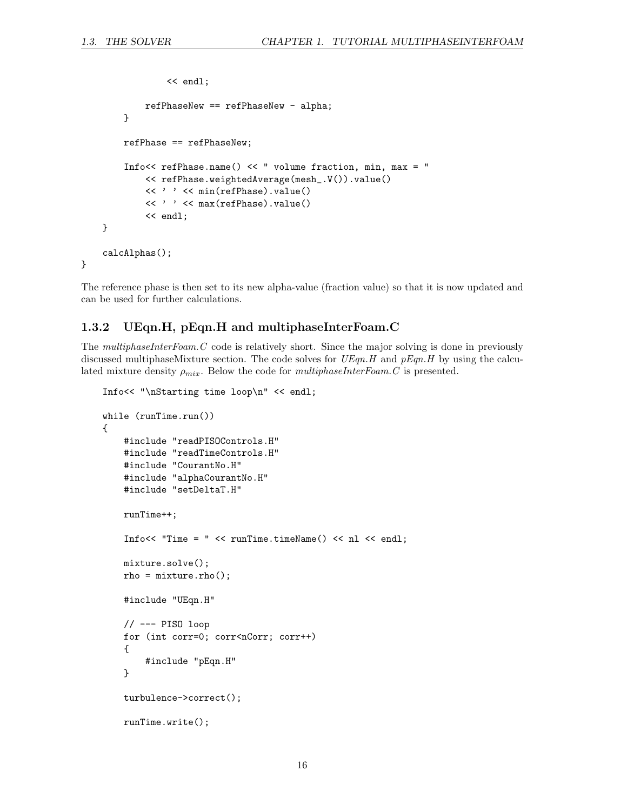```
<< endl;
            refPhaseNew == refPhaseNew - alpha;
        }
        refPhase == refPhaseNew;
        Info<< refPhase.name() << " volume fraction, min, max = "
            << refPhase.weightedAverage(mesh_.V()).value()
            << ' ' << min(refPhase).value()
            << ' ' << max(refPhase).value()
            << endl;
    }
    calcAlphas();
}
```
The reference phase is then set to its new alpha-value (fraction value) so that it is now updated and can be used for further calculations.

#### 1.3.2 UEqn.H, pEqn.H and multiphaseInterFoam.C

The multiphaseInterFoam.C code is relatively short. Since the major solving is done in previously discussed multiphaseMixture section. The code solves for  $UEqn.H$  and  $pEqn.H$  by using the calculated mixture density  $\rho_{mix}$ . Below the code for *multiphaseInterFoam.C* is presented.

```
Info<< "\nStarting time loop\n" << endl;
while (runTime.run())
{
    #include "readPISOControls.H"
    #include "readTimeControls.H"
    #include "CourantNo.H"
    #include "alphaCourantNo.H"
    #include "setDeltaT.H"
    runTime++;
    Info<< "Time = " << runTime.timeName() << nl << endl;
    mixture.solve();
    rho = mixture.rho();
    #include "UEqn.H"
    // --- PISO loop
    for (int corr=0; corr<nCorr; corr++)
    {
        #include "pEqn.H"
    }
    turbulence->correct();
    runTime.write();
```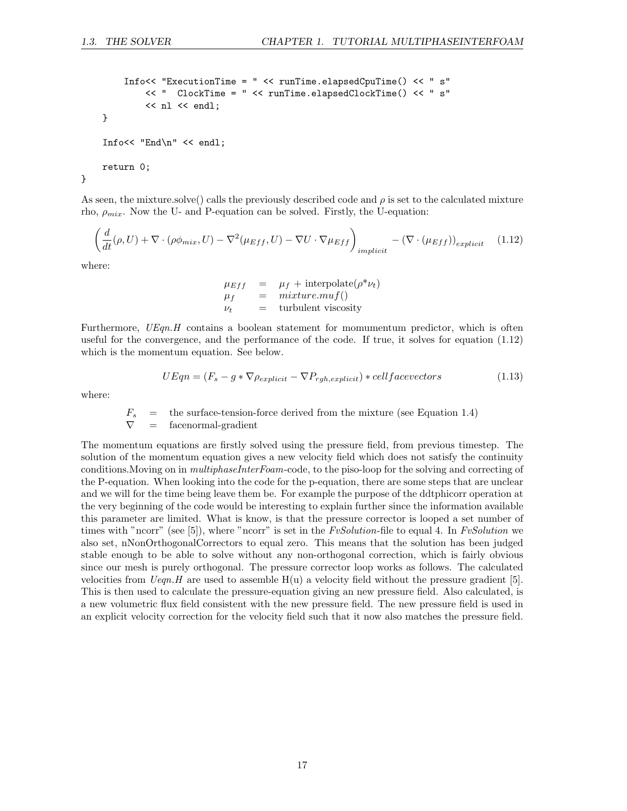```
Info<< "ExecutionTime = " << runTime.elapsedCpuTime() << " s"
        << " ClockTime = " << runTime.elapsedClockTime() << " s"
        << nl << endl;
}
Info<< "End\n" << endl;
return 0;
```
As seen, the mixture.solve() calls the previously described code and  $\rho$  is set to the calculated mixture rho,  $\rho_{mix}$ . Now the U- and P-equation can be solved. Firstly, the U-equation:

$$
\left(\frac{d}{dt}(\rho, U) + \nabla \cdot (\rho \phi_{mix}, U) - \nabla^2(\mu_{Eff}, U) - \nabla U \cdot \nabla \mu_{Eff}\right)_{implicit} - (\nabla \cdot (\mu_{Eff}))_{explicit} \tag{1.12}
$$

where:

}

$$
\mu_{Eff} = \mu_f + \text{interpolate}(\rho^* \nu_t)
$$
  
\n
$$
\mu_f = mixture.muf()
$$
  
\n
$$
\nu_t = \text{turbulent viscosity}
$$

Furthermore, UEqn.H contains a boolean statement for momumentum predictor, which is often useful for the convergence, and the performance of the code. If true, it solves for equation (1.12) which is the momentum equation. See below.

$$
UEqn = (F_s - g * \nabla \rho_{explicit} - \nabla P_{rgh, explicit}) * cellface vectors
$$
\n(1.13)

where:

$$
F_s
$$
 = the surface-tension-force derived from the mixture (see Equation 1.4)  
 $\nabla$  = facenormal-gradient

The momentum equations are firstly solved using the pressure field, from previous timestep. The solution of the momentum equation gives a new velocity field which does not satisfy the continuity conditions. Moving on in *multiphaseInterFoam*-code, to the piso-loop for the solving and correcting of the P-equation. When looking into the code for the p-equation, there are some steps that are unclear and we will for the time being leave them be. For example the purpose of the ddtphicorr operation at the very beginning of the code would be interesting to explain further since the information available this parameter are limited. What is know, is that the pressure corrector is looped a set number of times with "ncorr" (see [5]), where "ncorr" is set in the  $FvSolution$ -file to equal 4. In  $FvSolution$  we also set, nNonOrthogonalCorrectors to equal zero. This means that the solution has been judged stable enough to be able to solve without any non-orthogonal correction, which is fairly obvious since our mesh is purely orthogonal. The pressure corrector loop works as follows. The calculated velocities from  $Ueqn. H$  are used to assemble  $H(u)$  a velocity field without the pressure gradient [5]. This is then used to calculate the pressure-equation giving an new pressure field. Also calculated, is a new volumetric flux field consistent with the new pressure field. The new pressure field is used in an explicit velocity correction for the velocity field such that it now also matches the pressure field.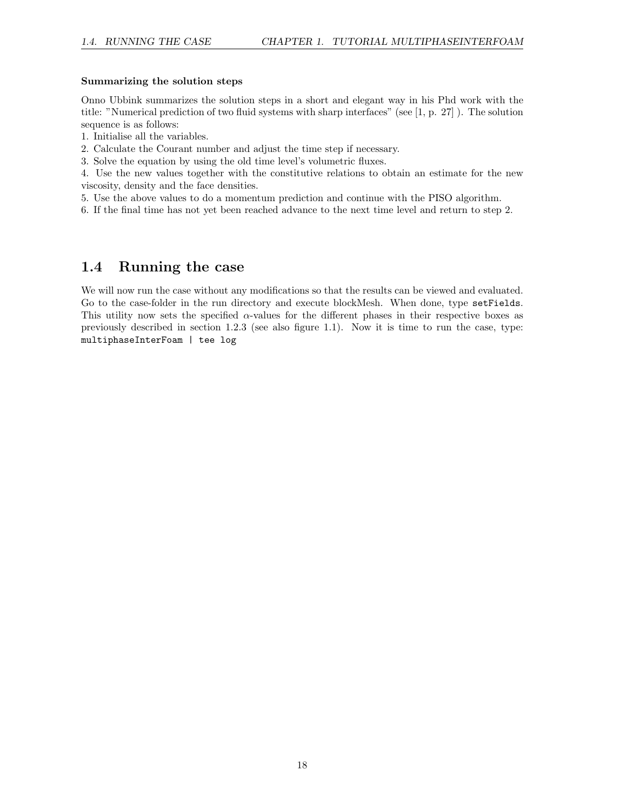#### Summarizing the solution steps

Onno Ubbink summarizes the solution steps in a short and elegant way in his Phd work with the title: "Numerical prediction of two fluid systems with sharp interfaces" (see [1, p. 27] ). The solution sequence is as follows:

1. Initialise all the variables.

2. Calculate the Courant number and adjust the time step if necessary.

3. Solve the equation by using the old time level's volumetric fluxes.

4. Use the new values together with the constitutive relations to obtain an estimate for the new viscosity, density and the face densities.

5. Use the above values to do a momentum prediction and continue with the PISO algorithm.

6. If the final time has not yet been reached advance to the next time level and return to step 2.

### 1.4 Running the case

We will now run the case without any modifications so that the results can be viewed and evaluated. Go to the case-folder in the run directory and execute blockMesh. When done, type setFields. This utility now sets the specified  $\alpha$ -values for the different phases in their respective boxes as previously described in section 1.2.3 (see also figure 1.1). Now it is time to run the case, type: multiphaseInterFoam | tee log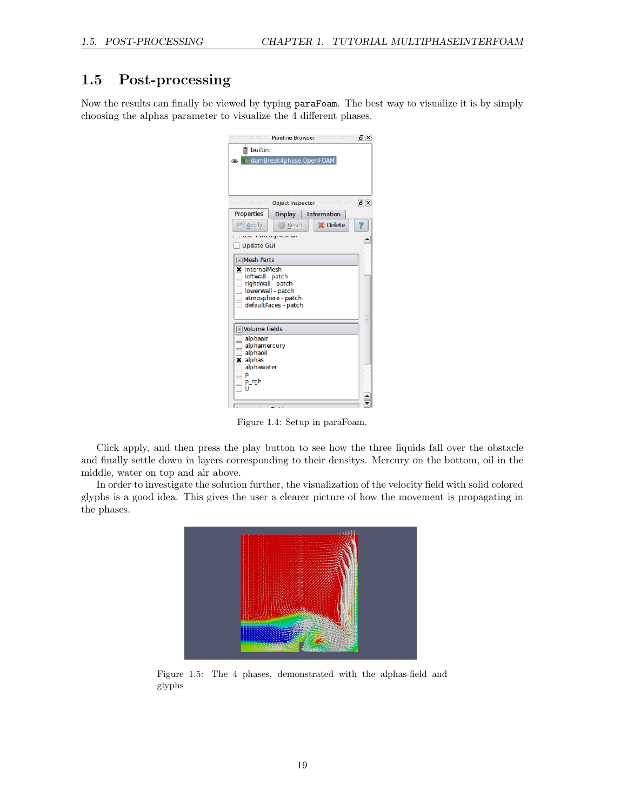## 1.5 Post-processing

Now the results can finally be viewed by typing paraFoam. The best way to visualize it is by simply choosing the alphas parameter to visualize the 4 different phases.

| canananana -                          | Pipeline Browser Management [B] X |  |                 |              |  |
|---------------------------------------|-----------------------------------|--|-----------------|--------------|--|
| F<br>builtin:                         |                                   |  |                 |              |  |
|                                       | damBreak4phase.OpenFOAM           |  |                 |              |  |
|                                       |                                   |  |                 |              |  |
|                                       |                                   |  |                 |              |  |
|                                       |                                   |  |                 |              |  |
|                                       | <b>Object Inspector</b>           |  |                 | state [5][X] |  |
| Properties                            | <b>Display</b>                    |  | Information     |              |  |
| <b>Apply</b>                          | <b>Reset</b>                      |  | <b>X</b> Delete |              |  |
|                                       | as in the superson sur-           |  |                 |              |  |
| <b>Update GUI</b>                     |                                   |  |                 |              |  |
| Mesh Parts                            |                                   |  |                 |              |  |
| internalMesh<br>×                     |                                   |  |                 |              |  |
| leftWall - patch<br>rightWall - patch |                                   |  |                 |              |  |
| lowerWall - patch                     |                                   |  |                 |              |  |
|                                       | atmosphere - patch                |  |                 |              |  |
| defaultFaces - patch                  |                                   |  |                 |              |  |
|                                       |                                   |  |                 |              |  |
| <b>Nolume Fields</b>                  |                                   |  |                 |              |  |
| alphaair<br>alphamercury              |                                   |  |                 |              |  |
| alphaoil                              |                                   |  |                 |              |  |
| <b>x</b> alphas<br>alphawater         |                                   |  |                 |              |  |
| D                                     |                                   |  |                 |              |  |
| p_rgh                                 |                                   |  |                 |              |  |
|                                       |                                   |  |                 |              |  |
|                                       |                                   |  |                 |              |  |

Figure 1.4: Setup in paraFoam.

Click apply, and then press the play button to see how the three liquids fall over the obstacle and finally settle down in layers corresponding to their densitys. Mercury on the bottom, oil in the middle, water on top and air above.

In order to investigate the solution further, the visualization of the velocity field with solid colored glyphs is a good idea. This gives the user a clearer picture of how the movement is propagating in the phases.



Figure 1.5: The 4 phases, demonstrated with the alphas-field and glyphs